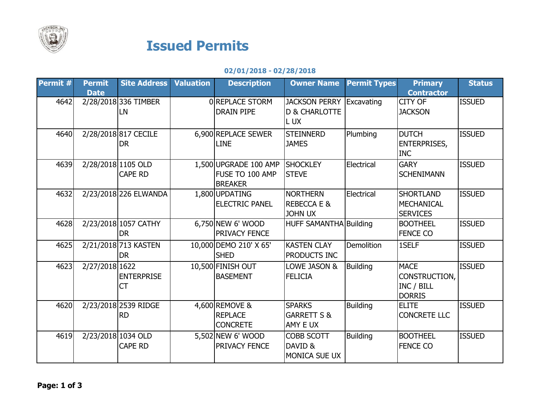

## Issued Permits

## 02/01/2018 - 02/28/2018

| Permit # | <b>Permit</b><br><b>Date</b> | <b>Site Address   Valuation</b>      | <b>Description</b>                                         | <b>Owner Name</b>                                                  | <b>Permit Types</b> | <b>Primary</b><br><b>Contractor</b>                         | <b>Status</b> |
|----------|------------------------------|--------------------------------------|------------------------------------------------------------|--------------------------------------------------------------------|---------------------|-------------------------------------------------------------|---------------|
| 4642     |                              | 2/28/2018 336 TIMBER<br>LN           | <b>OREPLACE STORM</b><br><b>DRAIN PIPE</b>                 | <b>JACKSON PERRY Excavating</b><br><b>D &amp; CHARLOTTE</b><br>LUX |                     | CITY OF<br><b>JACKSON</b>                                   | <b>ISSUED</b> |
| 4640     |                              | 2/28/2018 817 CECILE<br><b>DR</b>    | 6,900 REPLACE SEWER<br><b>LINE</b>                         | <b>STEINNERD</b><br><b>JAMES</b>                                   | Plumbing            | <b>DUTCH</b><br><b>ENTERPRISES,</b><br><b>INC</b>           | <b>ISSUED</b> |
| 4639     |                              | 2/28/2018 1105 OLD<br><b>CAPE RD</b> | 1,500 UPGRADE 100 AMP<br>FUSE TO 100 AMP<br><b>BREAKER</b> | <b>SHOCKLEY</b><br><b>STEVE</b>                                    | Electrical          | <b>GARY</b><br><b>SCHENIMANN</b>                            | <b>ISSUED</b> |
| 4632     |                              | 2/23/2018 226 ELWANDA                | 1,800 UPDATING<br><b>ELECTRIC PANEL</b>                    | <b>NORTHERN</b><br><b>REBECCA E &amp;</b><br><b>JOHN UX</b>        | Electrical          | <b>SHORTLAND</b><br><b>MECHANICAL</b><br><b>SERVICES</b>    | <b>ISSUED</b> |
| 4628     |                              | 2/23/2018 1057 CATHY<br><b>DR</b>    | $6,750$ NEW 6' WOOD<br>PRIVACY FENCE                       | <b>HUFF SAMANTHA Building</b>                                      |                     | <b>BOOTHEEL</b><br><b>FENCE CO</b>                          | <b>ISSUED</b> |
| 4625     |                              | 2/21/2018 713 KASTEN<br><b>DR</b>    | 10,000 DEMO 210' X 65'<br><b>SHED</b>                      | <b>KASTEN CLAY</b><br>PRODUCTS INC                                 | <b>Demolition</b>   | 1SELF                                                       | <b>ISSUED</b> |
| 4623     | 2/27/2018 1622               | <b>ENTERPRISE</b><br><b>CT</b>       | 10,500 FINISH OUT<br><b>BASEMENT</b>                       | LOWE JASON &<br><b>FELICIA</b>                                     | <b>Building</b>     | <b>MACE</b><br>CONSTRUCTION,<br>INC / BILL<br><b>DORRIS</b> | <b>ISSUED</b> |
| 4620     |                              | 2/23/2018 2539 RIDGE<br><b>RD</b>    | 4,600 REMOVE &<br><b>REPLACE</b><br><b>CONCRETE</b>        | <b>SPARKS</b><br><b>GARRETT S &amp;</b><br><b>AMY E UX</b>         | <b>Building</b>     | <b>ELITE</b><br><b>CONCRETE LLC</b>                         | <b>ISSUED</b> |
| 4619     |                              | 2/23/2018 1034 OLD<br><b>CAPE RD</b> | 5,502 NEW 6' WOOD<br>PRIVACY FENCE                         | <b>COBB SCOTT</b><br>DAVID &<br><b>MONICA SUE UX</b>               | <b>Building</b>     | <b>BOOTHEEL</b><br><b>FENCE CO</b>                          | <b>ISSUED</b> |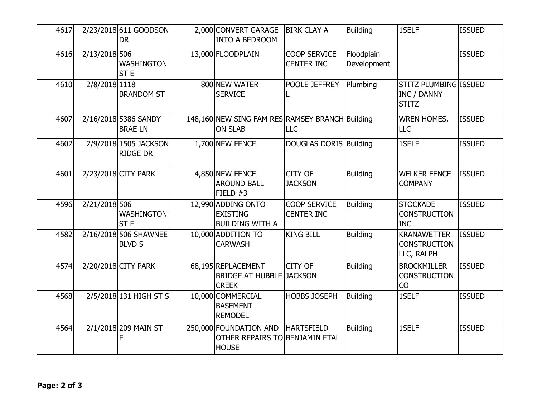| 4617 |               | 2/23/2018 611 GOODSON<br><b>DR</b>       | 2,000 CONVERT GARAGE<br><b>INTO A BEDROOM</b>                            | <b>BIRK CLAY A</b>                       | <b>Building</b>           | 1SELF                                                       | <b>ISSUED</b> |
|------|---------------|------------------------------------------|--------------------------------------------------------------------------|------------------------------------------|---------------------------|-------------------------------------------------------------|---------------|
| 4616 | 2/13/2018 506 | <b>WASHINGTON</b><br>ST <sub>E</sub>     | 13,000 FLOODPLAIN                                                        | COOP SERVICE<br><b>CENTER INC</b>        | Floodplain<br>Development |                                                             | <b>ISSUED</b> |
| 4610 | 2/8/2018 1118 | <b>BRANDOM ST</b>                        | 800 NEW WATER<br><b>SERVICE</b>                                          | POOLE JEFFREY                            | Plumbing                  | STITZ PLUMBING ISSUED<br><b>INC / DANNY</b><br><b>STITZ</b> |               |
| 4607 |               | 2/16/2018 5386 SANDY<br><b>BRAE LN</b>   | 148,160 NEW SING FAM RES RAMSEY BRANCH Building<br><b>ON SLAB</b>        | <b>LLC</b>                               |                           | <b>WREN HOMES,</b><br><b>LLC</b>                            | <b>ISSUED</b> |
| 4602 |               | 2/9/2018 1505 JACKSON<br><b>RIDGE DR</b> | 1,700 NEW FENCE                                                          | DOUGLAS DORIS Building                   |                           | 1SELF                                                       | <b>ISSUED</b> |
| 4601 |               | 2/23/2018 CITY PARK                      | 4,850 NEW FENCE<br><b>AROUND BALL</b><br>FIELD $#3$                      | <b>CITY OF</b><br><b>JACKSON</b>         | <b>Building</b>           | <b>WELKER FENCE</b><br><b>COMPANY</b>                       | <b>ISSUED</b> |
| 4596 | 2/21/2018 506 | <b>WASHINGTON</b><br><b>STE</b>          | 12,990 ADDING ONTO<br><b>EXISTING</b><br><b>BUILDING WITH A</b>          | <b>COOP SERVICE</b><br><b>CENTER INC</b> | <b>Building</b>           | <b>STOCKADE</b><br><b>CONSTRUCTION</b><br><b>INC</b>        | <b>ISSUED</b> |
| 4582 |               | 2/16/2018 506 SHAWNEE<br><b>BLVD S</b>   | 10,000 ADDITION TO<br><b>CARWASH</b>                                     | <b>KING BILL</b>                         | <b>Building</b>           | <b>KRANAWETTER</b><br><b>CONSTRUCTION</b><br>LLC, RALPH     | <b>ISSUED</b> |
| 4574 |               | 2/20/2018 CITY PARK                      | 68,195 REPLACEMENT<br><b>BRIDGE AT HUBBLE JACKSON</b><br><b>CREEK</b>    | <b>CITY OF</b>                           | <b>Building</b>           | <b>BROCKMILLER</b><br><b>CONSTRUCTION</b><br>CO             | <b>ISSUED</b> |
| 4568 |               | 2/5/2018 131 HIGH ST S                   | 10,000 COMMERCIAL<br><b>BASEMENT</b><br><b>REMODEL</b>                   | <b>HOBBS JOSEPH</b>                      | Building                  | 1SELF                                                       | <b>ISSUED</b> |
| 4564 |               | 2/1/2018 209 MAIN ST                     | 250,000 FOUNDATION AND<br>OTHER REPAIRS TO BENJAMIN ETAL<br><b>HOUSE</b> | <b>HARTSFIELD</b>                        | <b>Building</b>           | 1SELF                                                       | <b>ISSUED</b> |